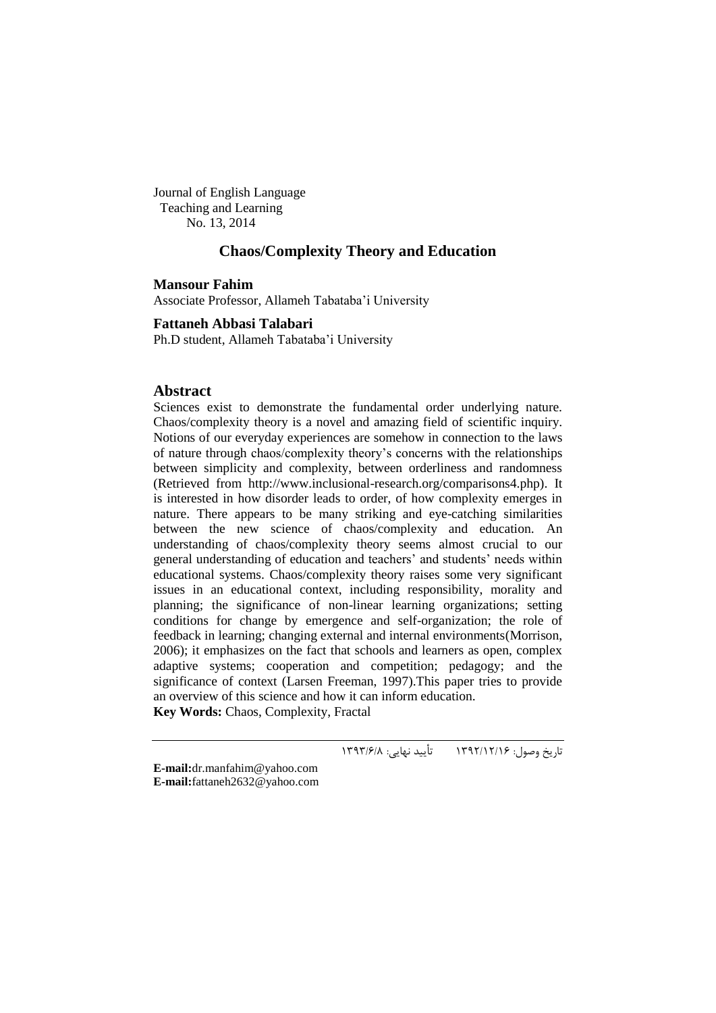Journal of English Language Teaching and Learning No. 13, 2014

# **Chaos/Complexity Theory and Education**

**Mansour Fahim**

Associate Professor, Allameh Tabataba"i University

**Fattaneh Abbasi Talabari**

Ph.D student, Allameh Tabataba"i University

## **Abstract**

Sciences exist to demonstrate the fundamental order underlying nature. Chaos/complexity theory is a novel and amazing field of scientific inquiry. Notions of our everyday experiences are somehow in connection to the laws of nature through chaos/complexity theory"s concerns with the relationships between simplicity and complexity, between orderliness and randomness (Retrieved from http://www.inclusional-research.org/comparisons4.php). It is interested in how disorder leads to order, of how complexity emerges in nature. There appears to be many striking and eye-catching similarities between the new science of chaos/complexity and education. An understanding of chaos/complexity theory seems almost crucial to our general understanding of education and teachers' and students' needs within educational systems. Chaos/complexity theory raises some very significant issues in an educational context, including responsibility, morality and planning; the significance of non-linear learning organizations; setting conditions for change by emergence and self-organization; the role of feedback in learning; changing external and internal environments(Morrison, 2006); it emphasizes on the fact that schools and learners as open, complex adaptive systems; cooperation and competition; pedagogy; and the significance of context (Larsen Freeman, 1997).This paper tries to provide an overview of this science and how it can inform education.

**Key Words:** Chaos, Complexity, Fractal

تاریخ وصول: 6931/61/61 تأیید نهایی: 6939/1/8

**E-mail:**[dr.manfahim@yahoo.com](mailto:dr.manfahim@yahoo.com) **E-mail:**[fattaneh2632@yahoo.com](mailto:fattaneh2632@yahoo.com)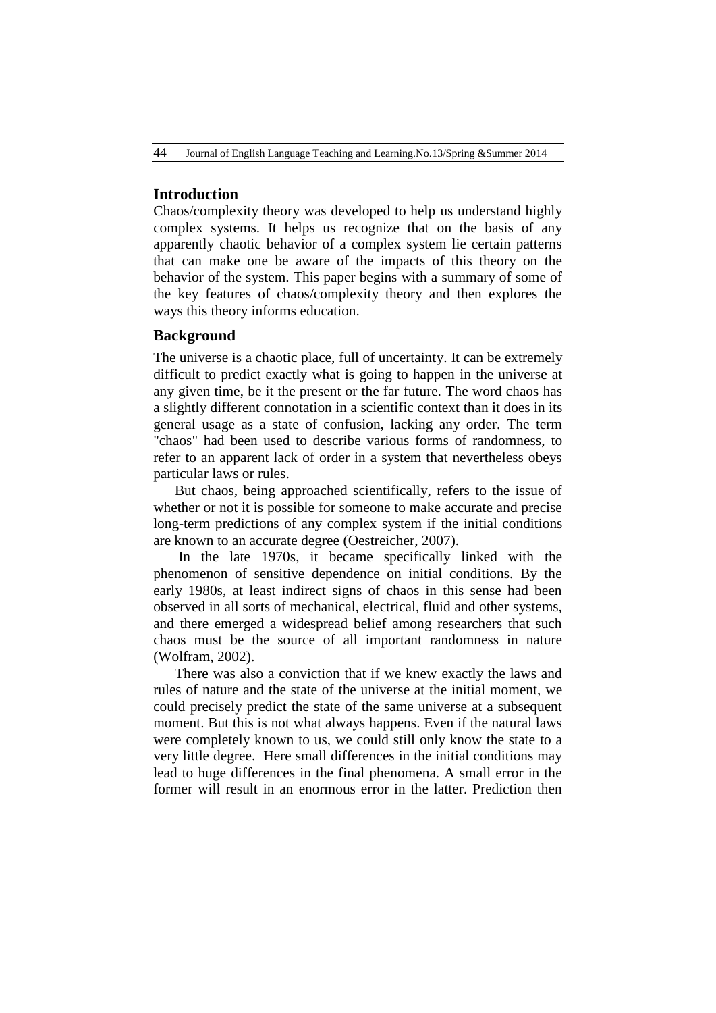### **Introduction**

Chaos/complexity theory was developed to help us understand highly complex systems. It helps us recognize that on the basis of any apparently chaotic behavior of a complex system lie certain patterns that can make one be aware of the impacts of this theory on the behavior of the system. This paper begins with a summary of some of the key features of chaos/complexity theory and then explores the ways this theory informs education.

# **Background**

The universe is a chaotic place, full of uncertainty. It can be extremely difficult to predict exactly what is going to happen in the universe at any given time, be it the present or the far future. The word chaos has a slightly different connotation in a scientific context than it does in its general usage as a state of confusion, lacking any order. The term "chaos" had been used to describe various forms of randomness, to refer to an apparent lack of order in a system that nevertheless obeys particular laws or rules.

But chaos, being approached scientifically, refers to the issue of whether or not it is possible for someone to make accurate and precise long-term predictions of any complex system if the initial conditions are known to an accurate degree (Oestreicher, 2007).

In the late 1970s, it became specifically linked with the phenomenon of sensitive dependence on initial conditions. By the early 1980s, at least indirect signs of chaos in this sense had been observed in all sorts of mechanical, electrical, fluid and other systems, and there emerged a widespread belief among researchers that such chaos must be the source of all important randomness in nature (Wolfram, 2002).

There was also a conviction that if we knew exactly the laws and rules of nature and the state of the universe at the initial moment, we could precisely predict the state of the same universe at a subsequent moment. But this is not what always happens. Even if the natural laws were completely known to us, we could still only know the state to a very little degree. Here small differences in the initial conditions may lead to huge differences in the final phenomena. A small error in the former will result in an enormous error in the latter. Prediction then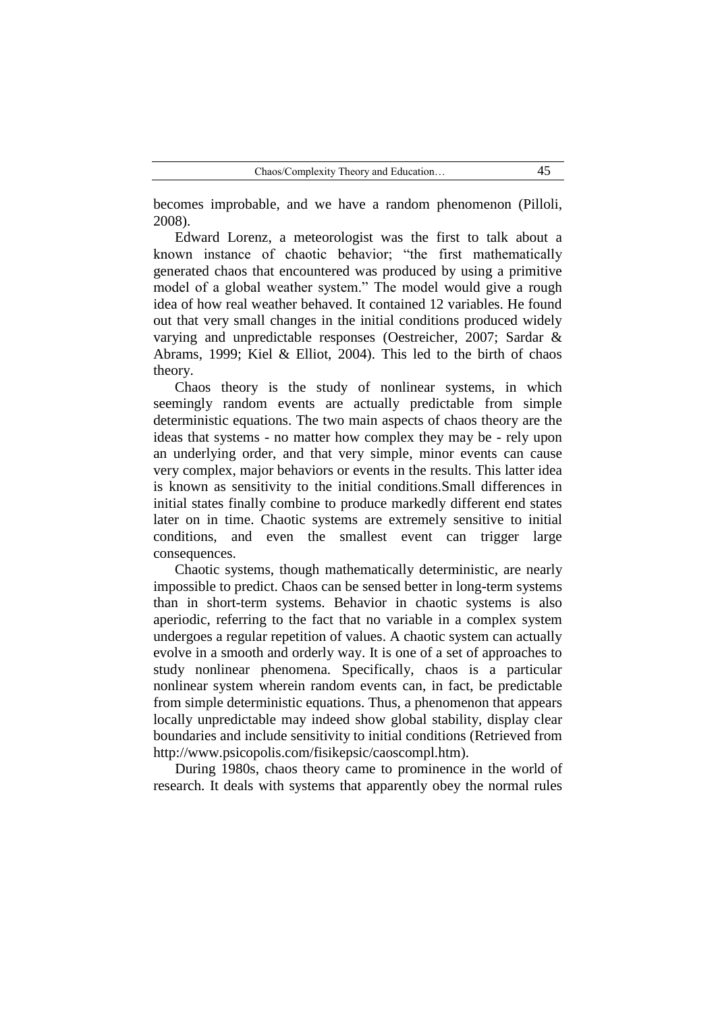becomes improbable, and we have a random phenomenon (Pilloli, 2008).

Edward Lorenz, a meteorologist was the first to talk about a known instance of chaotic behavior; "the first mathematically generated chaos that encountered was produced by using a primitive model of a global weather system." The model would give a rough idea of how real weather behaved. It contained 12 variables. He found out that very small changes in the initial conditions produced widely varying and unpredictable responses (Oestreicher, 2007; Sardar & Abrams, 1999; Kiel & Elliot, 2004). This led to the birth of chaos theory.

Chaos theory is the study of nonlinear systems, in which seemingly random events are actually predictable from simple deterministic equations. The two main aspects of chaos theory are the ideas that systems - no matter how complex they may be - rely upon an underlying order, and that very simple, minor events can cause very complex, major behaviors or events in the results. This latter idea is known as sensitivity to the initial conditions.Small differences in initial states finally combine to produce markedly different end states later on in time. Chaotic systems are extremely sensitive to initial conditions, and even the smallest event can trigger large consequences.

Chaotic systems, though mathematically deterministic, are nearly impossible to predict. Chaos can be sensed better in long-term systems than in short-term systems. Behavior in chaotic systems is also aperiodic, referring to the fact that no variable in a complex system undergoes a regular repetition of values. A chaotic system can actually evolve in a smooth and orderly way. It is one of a set of approaches to study nonlinear phenomena. Specifically, chaos is a particular nonlinear system wherein random events can, in fact, be predictable from simple deterministic equations. Thus, a phenomenon that appears locally unpredictable may indeed show global stability, display clear boundaries and include sensitivity to initial conditions (Retrieved from http://www.psicopolis.com/fisikepsic/caoscompl.htm).

During 1980s, chaos theory came to prominence in the world of research. It deals with systems that apparently obey the normal rules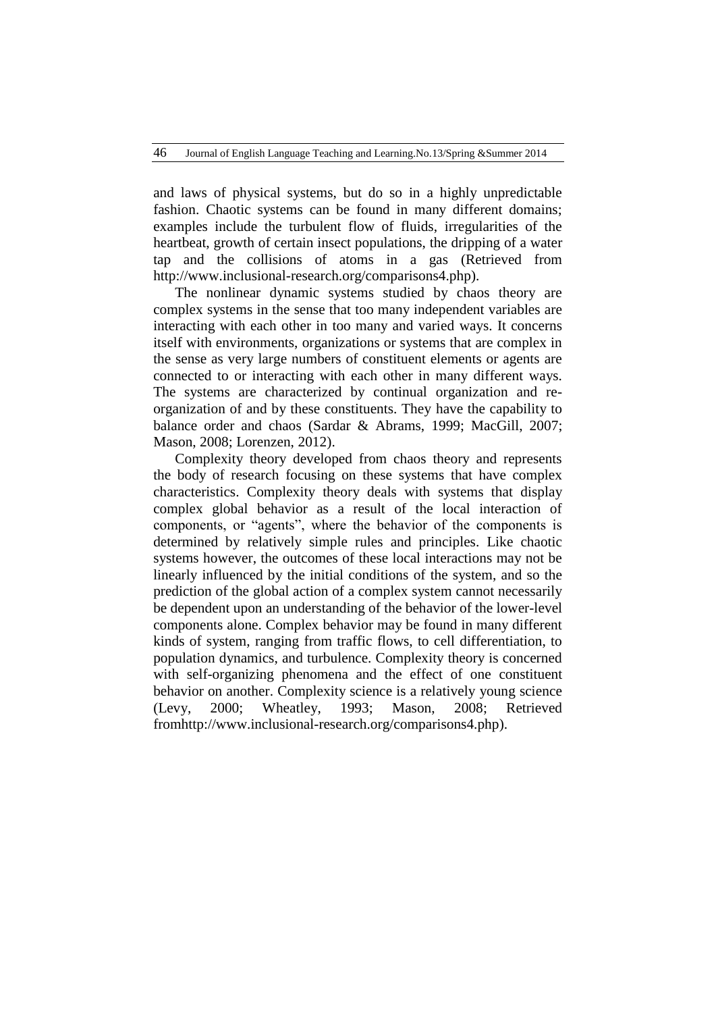and laws of physical systems, but do so in a highly unpredictable fashion. Chaotic systems can be found in many different domains; examples include the turbulent flow of fluids, irregularities of the heartbeat, growth of certain insect populations, the dripping of a water tap and the collisions of atoms in a gas (Retrieved from http://www.inclusional-research.org/comparisons4.php).

The nonlinear dynamic systems studied by chaos theory are complex systems in the sense that too many independent variables are interacting with each other in too many and varied ways. It concerns itself with environments, organizations or systems that are complex in the sense as very large numbers of constituent elements or agents are connected to or interacting with each other in many different ways. The systems are characterized by continual organization and reorganization of and by these constituents. They have the capability to balance order and chaos (Sardar & Abrams, 1999; MacGill, 2007; Mason, 2008; Lorenzen, 2012).

Complexity theory developed from chaos theory and represents the body of research focusing on these systems that have complex characteristics. Complexity theory deals with systems that display complex global behavior as a result of the local interaction of components, or "agents", where the behavior of the components is determined by relatively simple rules and principles. Like chaotic systems however, the outcomes of these local interactions may not be linearly influenced by the initial conditions of the system, and so the prediction of the global action of a complex system cannot necessarily be dependent upon an understanding of the behavior of the lower-level components alone. Complex behavior may be found in many different kinds of system, ranging from traffic flows, to cell differentiation, to population dynamics, and turbulence. Complexity theory is concerned with self-organizing phenomena and the effect of one constituent behavior on another. Complexity science is a relatively young science (Levy, 2000; Wheatley, 1993; Mason, 2008; Retrieved fro[mhttp://www.inclusional-research.org/comparisons4.php\)](http://www.inclusional-research.org/comparisons4.php).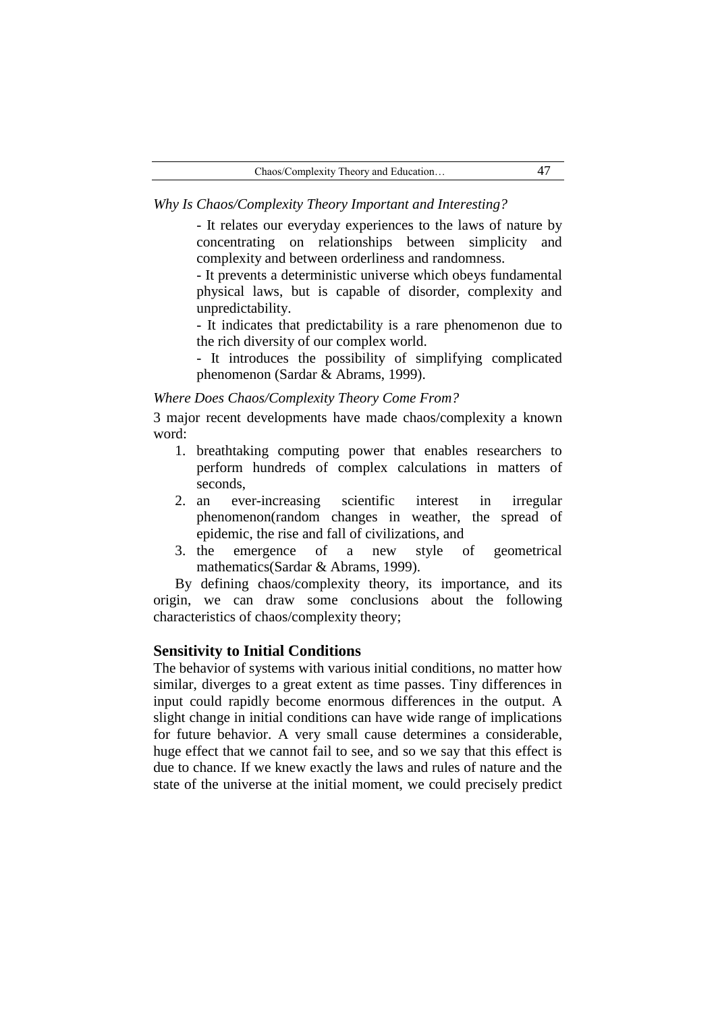*Why Is Chaos/Complexity Theory Important and Interesting?*

- It relates our everyday experiences to the laws of nature by concentrating on relationships between simplicity and complexity and between orderliness and randomness.

- It prevents a deterministic universe which obeys fundamental physical laws, but is capable of disorder, complexity and unpredictability.

- It indicates that predictability is a rare phenomenon due to the rich diversity of our complex world.

- It introduces the possibility of simplifying complicated phenomenon (Sardar & Abrams, 1999).

#### *Where Does Chaos/Complexity Theory Come From?*

3 major recent developments have made chaos/complexity a known word:

- 1. breathtaking computing power that enables researchers to perform hundreds of complex calculations in matters of seconds,
- 2. an ever-increasing scientific interest in irregular phenomenon(random changes in weather, the spread of epidemic, the rise and fall of civilizations, and
- 3. the emergence of a new style of geometrical mathematics(Sardar & Abrams, 1999).

By defining chaos/complexity theory, its importance, and its origin, we can draw some conclusions about the following characteristics of chaos/complexity theory;

#### **Sensitivity to Initial Conditions**

The behavior of systems with various initial conditions, no matter how similar, diverges to a great extent as time passes. Tiny differences in input could rapidly become enormous differences in the output. A slight change in initial conditions can have wide range of implications for future behavior. A very small cause determines a considerable, huge effect that we cannot fail to see, and so we say that this effect is due to chance. If we knew exactly the laws and rules of nature and the state of the universe at the initial moment, we could precisely predict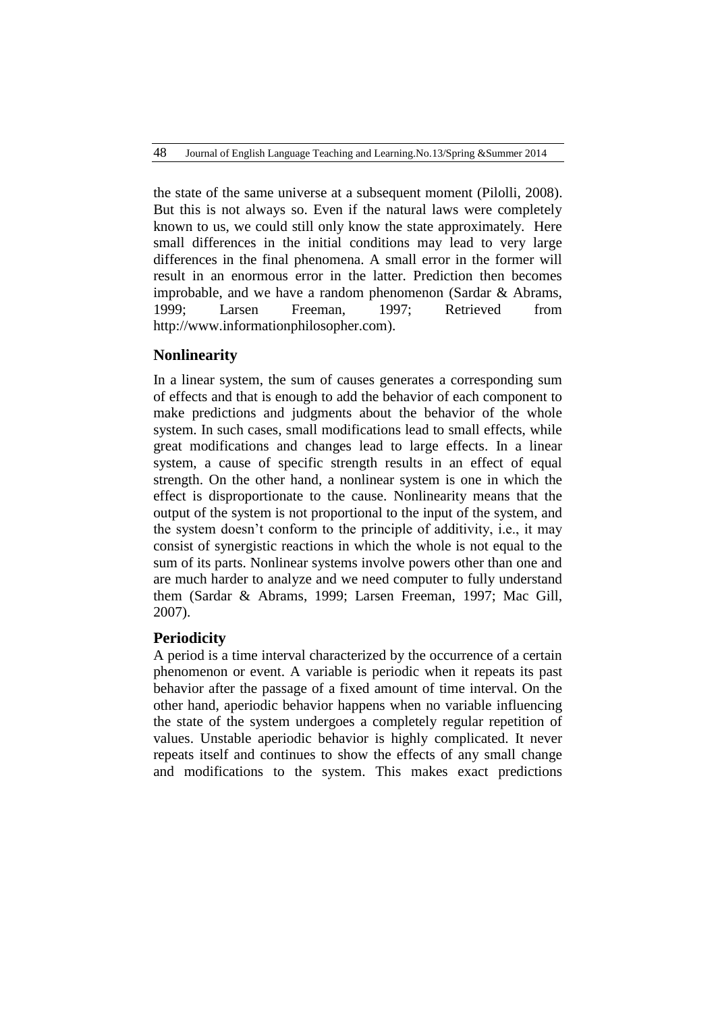the state of the same universe at a subsequent moment (Pilolli, 2008). But this is not always so. Even if the natural laws were completely known to us, we could still only know the state approximately. Here small differences in the initial conditions may lead to very large differences in the final phenomena. A small error in the former will result in an enormous error in the latter. Prediction then becomes improbable, and we have a random phenomenon (Sardar & Abrams, 1999; Larsen Freeman, 1997; Retrieved from [http://www.informationphilosopher.com\)](http://www.informationphilosopher.com/).

# **Nonlinearity**

In a linear system, the sum of causes generates a corresponding sum of effects and that is enough to add the behavior of each component to make predictions and judgments about the behavior of the whole system. In such cases, small modifications lead to small effects, while great modifications and changes lead to large effects. In a linear system, a cause of specific strength results in an effect of equal strength. On the other hand, a nonlinear system is one in which the effect is disproportionate to the cause. Nonlinearity means that the output of the system is not proportional to the input of the system, and the system doesn"t conform to the principle of additivity, i.e., it may consist of synergistic reactions in which the whole is not equal to the sum of its parts. Nonlinear systems involve powers other than one and are much harder to analyze and we need computer to fully understand them (Sardar & Abrams, 1999; Larsen Freeman, 1997; Mac Gill, 2007).

# **Periodicity**

A period is a time interval characterized by the occurrence of a certain phenomenon or event. A variable is periodic when it repeats its past behavior after the passage of a fixed amount of time interval. On the other hand, aperiodic behavior happens when no variable influencing the state of the system undergoes a completely regular repetition of values. Unstable aperiodic behavior is highly complicated. It never repeats itself and continues to show the effects of any small change and modifications to the system. This makes exact predictions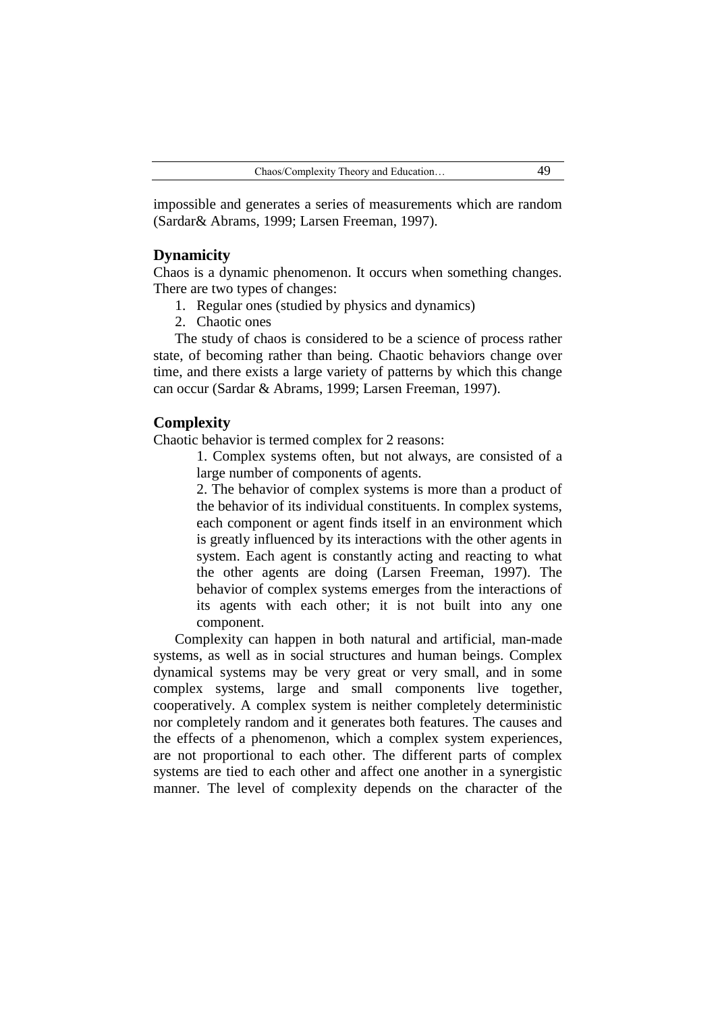impossible and generates a series of measurements which are random (Sardar& Abrams, 1999; Larsen Freeman, 1997).

### **Dynamicity**

Chaos is a dynamic phenomenon. It occurs when something changes. There are two types of changes:

- 1. Regular ones (studied by physics and dynamics)
- 2. Chaotic ones

The study of chaos is considered to be a science of process rather state, of becoming rather than being. Chaotic behaviors change over time, and there exists a large variety of patterns by which this change can occur (Sardar & Abrams, 1999; Larsen Freeman, 1997).

### **Complexity**

Chaotic behavior is termed complex for 2 reasons:

1. Complex systems often, but not always, are consisted of a large number of components of agents.

2. The behavior of complex systems is more than a product of the behavior of its individual constituents. In complex systems, each component or agent finds itself in an environment which is greatly influenced by its interactions with the other agents in system. Each agent is constantly acting and reacting to what the other agents are doing (Larsen Freeman, 1997). The behavior of complex systems emerges from the interactions of its agents with each other; it is not built into any one component.

Complexity can happen in both natural and artificial, man-made systems, as well as in social structures and human beings. Complex dynamical systems may be very great or very small, and in some complex systems, large and small components live together, cooperatively. A complex system is neither completely deterministic nor completely random and it generates both features. The causes and the effects of a phenomenon, which a complex system experiences, are not proportional to each other. The different parts of complex systems are tied to each other and affect one another in a synergistic manner. The level of complexity depends on the character of the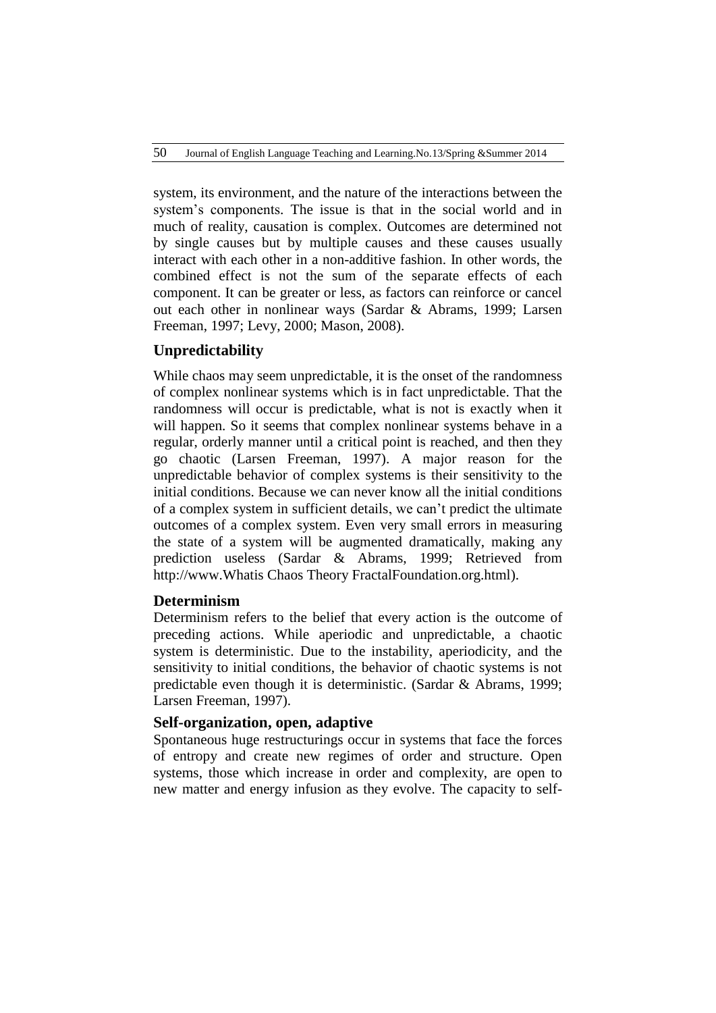system, its environment, and the nature of the interactions between the system"s components. The issue is that in the social world and in much of reality, causation is complex. Outcomes are determined not by single causes but by multiple causes and these causes usually interact with each other in a non-additive fashion. In other words, the combined effect is not the sum of the separate effects of each component. It can be greater or less, as factors can reinforce or cancel out each other in nonlinear ways (Sardar & Abrams, 1999; Larsen Freeman, 1997; Levy, 2000; Mason, 2008).

# **Unpredictability**

While chaos may seem unpredictable, it is the onset of the randomness of complex nonlinear systems which is in fact unpredictable. That the randomness will occur is predictable, what is not is exactly when it will happen. So it seems that complex nonlinear systems behave in a regular, orderly manner until a critical point is reached, and then they go chaotic (Larsen Freeman, 1997). A major reason for the unpredictable behavior of complex systems is their sensitivity to the initial conditions. Because we can never know all the initial conditions of a complex system in sufficient details, we can"t predict the ultimate outcomes of a complex system. Even very small errors in measuring the state of a system will be augmented dramatically, making any prediction useless (Sardar & Abrams, 1999; Retrieved from [http://www.Whati](http://www.what/)s Chaos Theory FractalFoundation.org.html).

# **Determinism**

Determinism refers to the belief that every action is the outcome of preceding actions. While aperiodic and unpredictable, a chaotic system is deterministic. Due to the instability, aperiodicity, and the sensitivity to initial conditions, the behavior of chaotic systems is not predictable even though it is deterministic. (Sardar & Abrams, 1999; Larsen Freeman, 1997).

### **Self-organization, open, adaptive**

Spontaneous huge restructurings occur in systems that face the forces of entropy and create new regimes of order and structure. Open systems, those which increase in order and complexity, are open to new matter and energy infusion as they evolve. The capacity to self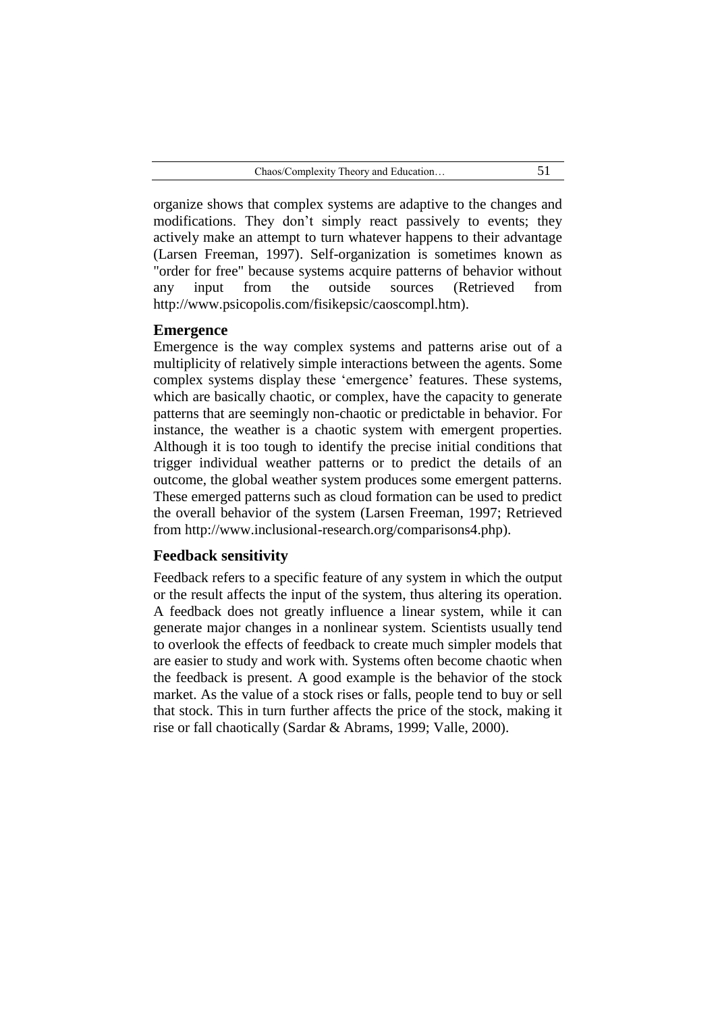organize shows that complex systems are adaptive to the changes and modifications. They don't simply react passively to events; they actively make an attempt to turn whatever happens to their advantage (Larsen Freeman, 1997). Self-organization is sometimes known as "order for free" because systems acquire patterns of behavior without any input from the outside sources (Retrieved from http://www.psicopolis.com/fisikepsic/caoscompl.htm).

### **Emergence**

Emergence is the way [complex systems](http://en.wikipedia.org/wiki/Complex_system) and patterns arise out of a [multiplicity](http://en.wiktionary.org/wiki/multiplicity) of relatively simple interactions between the agents. Some complex systems display these "emergence" features. These systems, which are basically chaotic, or complex, have the capacity to generate patterns that are seemingly non-chaotic or predictable in behavior. For instance, the weather is a chaotic system with emergent properties. Although it is too tough to identify the precise initial conditions that trigger individual weather patterns or to predict the details of an outcome, the global weather system produces some emergent patterns. These emerged patterns such as cloud formation can be used to predict the overall behavior of the system (Larsen Freeman, 1997; Retrieved from http://www.inclusional-research.org/comparisons4.php).

### **Feedback sensitivity**

Feedback refers to a specific feature of any system in which the output or the result affects the input of the system, thus altering its operation. A feedback does not greatly influence a linear system, while it can generate major changes in a nonlinear system. Scientists usually tend to overlook the effects of feedback to create much simpler models that are easier to study and work with. Systems often become chaotic when the feedback is present. A good example is the behavior of the stock market. As the value of a stock rises or falls, people tend to buy or sell that stock. This in turn further affects the price of the stock, making it rise or fall chaotically (Sardar & Abrams, 1999; Valle, 2000).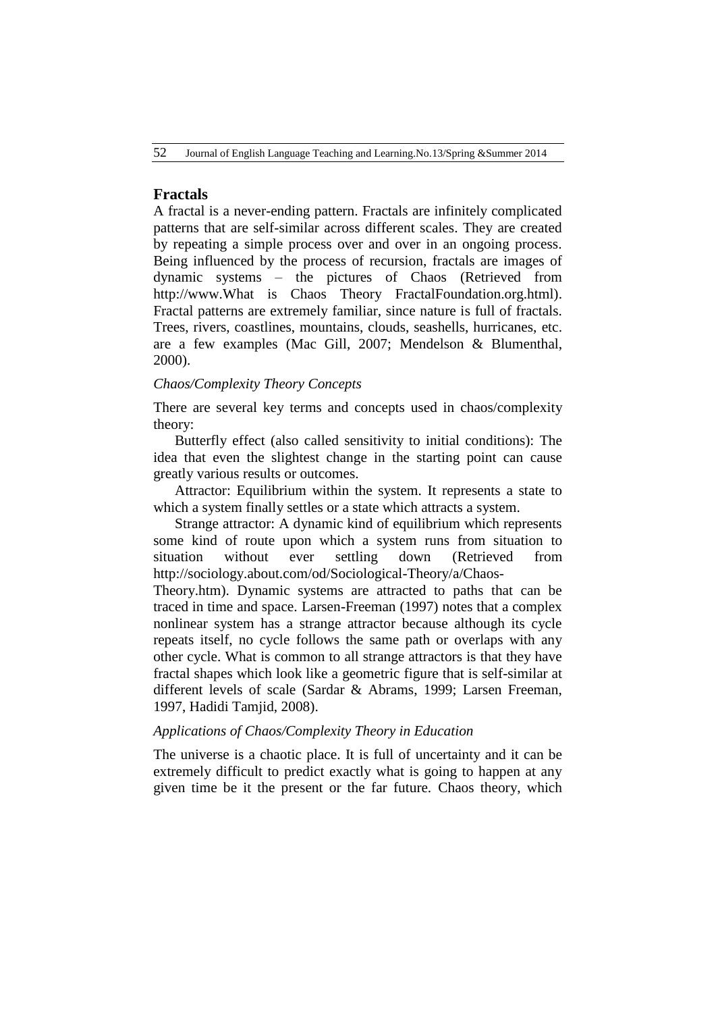# **[Fractals](http://fractalfoundation.wolfesongs.com/?page_id=149)**

A fractal is a never-ending pattern. Fractals are infinitely complicated patterns that are self-similar across different scales. They are created by repeating a simple process over and over in an ongoing process. Being influenced by the process of recursion, fractals are images of dynamic systems – the pictures of Chaos (Retrieved from [http://www.What](http://www.what/) is Chaos Theory FractalFoundation.org.html). Fractal patterns are extremely familiar, since nature is full of fractals. Trees, rivers, coastlines, mountains, clouds, seashells, hurricanes, etc. are a few examples (Mac Gill, 2007; Mendelson & Blumenthal, 2000).

### *Chaos/Complexity Theory Concepts*

There are several key terms and concepts used in chaos/complexity theory:

Butterfly effect (also called sensitivity to initial conditions): The idea that even the slightest change in the starting point can cause greatly various results or outcomes.

Attractor: Equilibrium within the system. It represents a state to which a system finally settles or a state which attracts a system.

Strange attractor: A dynamic kind of equilibrium which represents some kind of route upon which a system runs from situation to situation without ever settling down (Retrieved from [http://sociology.about.com/od/Sociological-Theory/a/Chaos-](http://sociology.about.com/od/Sociological-Theory/a/Chaos-Theory.htm)

[Theory.htm\)](http://sociology.about.com/od/Sociological-Theory/a/Chaos-Theory.htm). Dynamic systems are attracted to paths that can be traced in time and space. Larsen-Freeman (1997) notes that a complex nonlinear system has a strange attractor because although its cycle repeats itself, no cycle follows the same path or overlaps with any other cycle. What is common to all strange attractors is that they have fractal shapes which look like a geometric figure that is self-similar at different levels of scale (Sardar & Abrams, 1999; Larsen Freeman, 1997, Hadidi Tamjid, 2008).

### *Applications of Chaos/Complexity Theory in Education*

The universe is a chaotic place. It is full of uncertainty and it can be extremely difficult to predict exactly what is going to happen at any given time be it the present or the far future. Chaos theory, which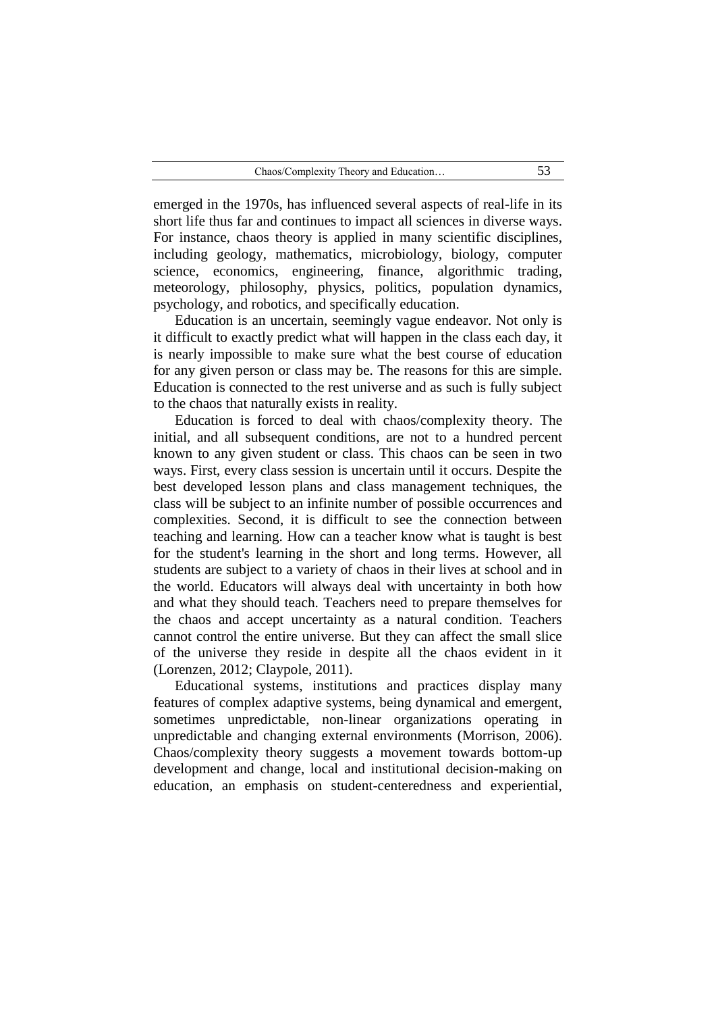emerged in the 1970s, has influenced several aspects of real-life in its short life thus far and continues to impact all sciences in diverse ways. For instance, chaos theory is applied in many scientific disciplines, including [geology,](http://en.wikipedia.org/wiki/Geology) [mathematics,](http://en.wikipedia.org/wiki/Mathematics) [microbiology,](http://en.wikipedia.org/wiki/Microbiology) [biology,](http://en.wikipedia.org/wiki/Biology) [computer](http://en.wikipedia.org/wiki/Computer_science)  [science,](http://en.wikipedia.org/wiki/Computer_science) [economics,](http://en.wikipedia.org/wiki/Economics) [engineering,](http://en.wikipedia.org/wiki/Engineering) [finance,](http://en.wikipedia.org/wiki/Finance) [algorithmic trading,](http://en.wikipedia.org/wiki/Algorithmic_trading) [meteorology,](http://en.wikipedia.org/wiki/Meteorology) [philosophy,](http://en.wikipedia.org/wiki/Philosophy) [physics,](http://en.wikipedia.org/wiki/Physics) [politics,](http://en.wikipedia.org/wiki/Politics) [population dynamics,](http://en.wikipedia.org/wiki/Population_dynamics) [psychology,](http://en.wikipedia.org/wiki/Psychology) and [robotics,](http://en.wikipedia.org/wiki/BEAM_robotics) and specifically education.

Education is an uncertain, seemingly vague endeavor. Not only is it difficult to exactly predict what will happen in the class each day, it is nearly impossible to make sure what the best course of education for any given person or class may be. The reasons for this are simple. Education is connected to the rest universe and as such is fully subject to the chaos that naturally exists in reality.

Education is forced to deal with chaos/complexity theory. The initial, and all subsequent conditions, are not to a hundred percent known to any given student or class. This chaos can be seen in two ways. First, every class session is uncertain until it occurs. Despite the best developed lesson plans and class management techniques, the class will be subject to an infinite number of possible occurrences and complexities. Second, it is difficult to see the connection between teaching and learning. How can a teacher know what is taught is best for the student's learning in the short and long terms. However, all students are subject to a variety of chaos in their lives at school and in the world. Educators will always deal with uncertainty in both how and what they should teach. Teachers need to prepare themselves for the chaos and accept uncertainty as a natural condition. Teachers cannot control the entire universe. But they can affect the small slice of the universe they reside in despite all the chaos evident in it (Lorenzen, 2012; Claypole, 2011).

Educational systems, institutions and practices display many features of complex adaptive systems, being dynamical and emergent, sometimes unpredictable, non-linear organizations operating in unpredictable and changing external environments (Morrison, 2006). Chaos/complexity theory suggests a movement towards bottom-up development and change, local and institutional decision-making on education, an emphasis on student-centeredness and experiential,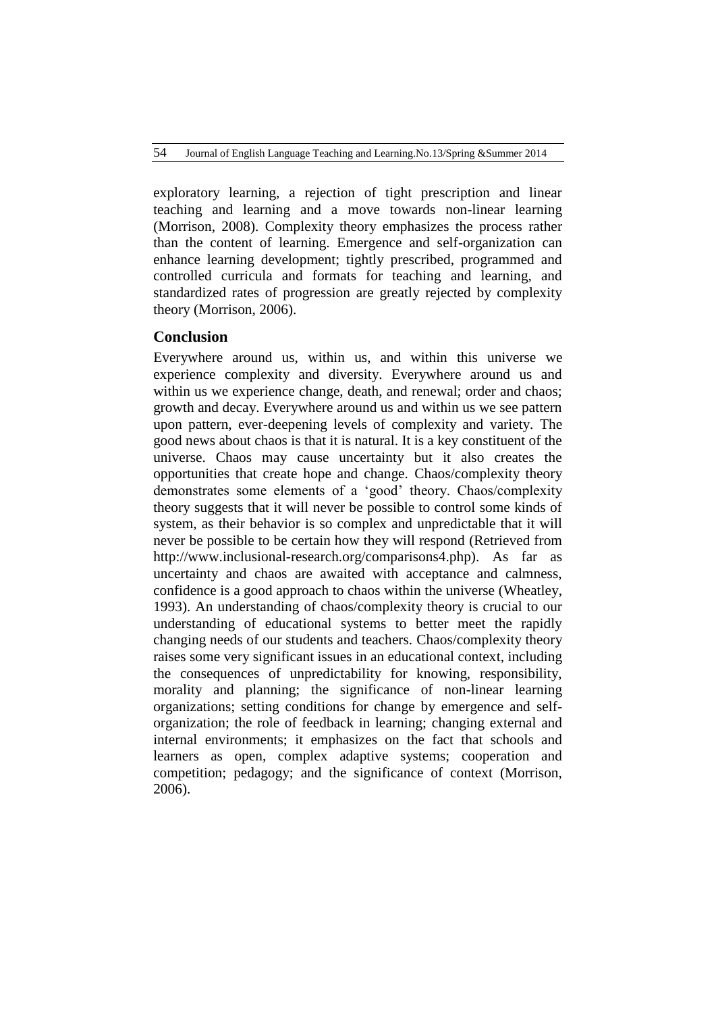exploratory learning, a rejection of tight prescription and linear teaching and learning and a move towards non-linear learning (Morrison, 2008). Complexity theory emphasizes the process rather than the content of learning. Emergence and self-organization can enhance learning development; tightly prescribed, programmed and controlled curricula and formats for teaching and learning, and standardized rates of progression are greatly rejected by complexity theory (Morrison, 2006).

## **Conclusion**

Everywhere around us, within us, and within this universe we experience complexity and diversity. Everywhere around us and within us we experience change, death, and renewal; order and chaos; growth and decay. Everywhere around us and within us we see pattern upon pattern, ever-deepening levels of complexity and variety. The good news about chaos is that it is natural. It is a key constituent of the universe. Chaos may cause uncertainty but it also creates the opportunities that create hope and change. Chaos/complexity theory demonstrates some elements of a "good" theory. Chaos/complexity theory suggests that it will never be possible to control some kinds of system, as their behavior is so complex and unpredictable that it will never be possible to be certain how they will respond (Retrieved from http://www.inclusional-research.org/comparisons4.php). As far as uncertainty and chaos are awaited with acceptance and calmness, confidence is a good approach to chaos within the universe (Wheatley, 1993). An understanding of chaos/complexity theory is crucial to our understanding of educational systems to better meet the rapidly changing needs of our students and teachers. Chaos/complexity theory raises some very significant issues in an educational context, including the consequences of unpredictability for knowing, responsibility, morality and planning; the significance of non-linear learning organizations; setting conditions for change by emergence and selforganization; the role of feedback in learning; changing external and internal environments; it emphasizes on the fact that schools and learners as open, complex adaptive systems; cooperation and competition; pedagogy; and the significance of context (Morrison, 2006).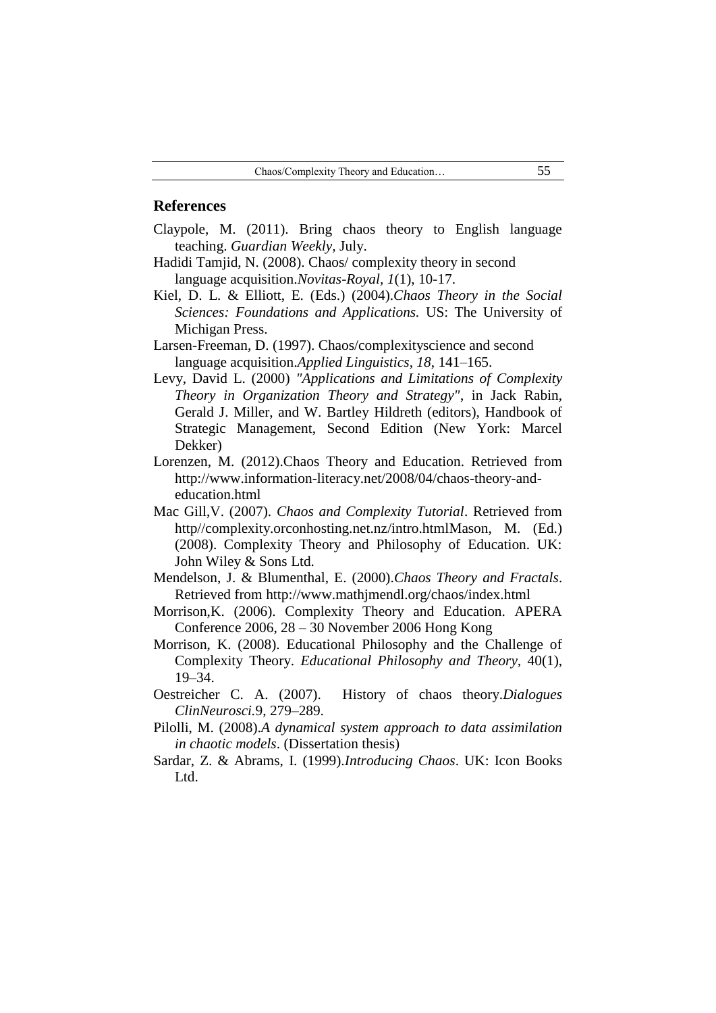### **References**

- Claypole, M. (2011). Bring chaos theory to English language teaching. *Guardian Weekly,* July.
- Hadidi Tamjid, N. (2008). Chaos/ complexity theory in second language acquisition.*Novitas-Royal, 1*(1), 10-17.
- Kiel, D. L. & Elliott, E. (Eds.) (2004).*Chaos Theory in the Social Sciences: Foundations and Applications.* US: The University of Michigan Press.
- Larsen-Freeman, D. (1997). Chaos/complexityscience and second language acquisition.*Applied Linguistics*, *18*, 141–165.
- Levy, David L. (2000) *"Applications and Limitations of Complexity Theory in Organization Theory and Strategy"*, in Jack Rabin, Gerald J. Miller, and W. Bartley Hildreth (editors), Handbook of Strategic Management, Second Edition (New York: Marcel Dekker)
- Lorenzen, M. (2012).Chaos Theory and Education. Retrieved from [http://www.information-l](http://www.information-/)iteracy.net/2008/04/chaos-theory-andeducation.html
- Mac Gill,V. (2007). *Chaos and Complexity Tutorial*. Retrieved from http//complexity.orconhosting.net.nz/intro.htmlMason, M. (Ed.) (2008). Complexity Theory and Philosophy of Education. UK: John Wiley & Sons Ltd.
- Mendelson, J. & Blumenthal, E. (2000).*Chaos Theory and Fractals*. Retrieved from [http://www.mathjmendl.org/chaos/index.html](http://web.archive.org/web/20020313115419/http:/www.mathjmendl.org/chaos/index.html)
- Morrison,K. (2006). Complexity Theory and Education. APERA Conference 2006, 28 – 30 November 2006 Hong Kong
- Morrison, K. (2008). Educational Philosophy and the Challenge of Complexity Theory. *Educational Philosophy and Theory,* [40\(1\),](http://onlinelibrary.wiley.com/doi/10.1111/epat.2008.40.issue-1/issuetoc)  19–34.
- Oestreicher C. A. (2007). History of chaos theory.*Dialogues ClinNeurosci.*9, 279–289.
- Pilolli, M. (2008).*A dynamical system approach to data assimilation in chaotic models*. (Dissertation thesis)
- Sardar, Z. & Abrams, I. (1999).*Introducing Chaos*. UK: Icon Books Ltd.